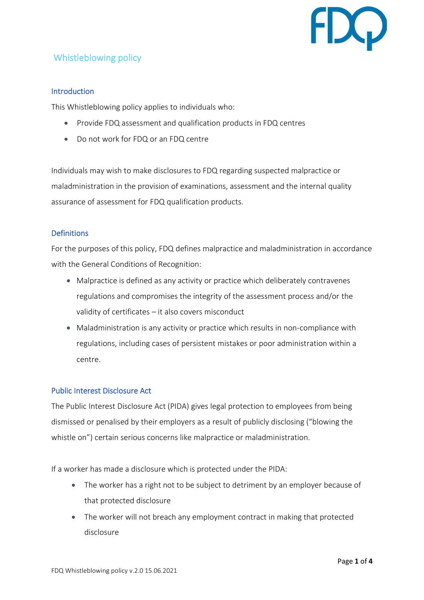

# Whistleblowing policy

## Introduction

This Whistleblowing policy applies to individuals who:

- Provide FDQ assessment and qualification products in FDQ centres
- Do not work for FDQ or an FDQ centre

Individuals may wish to make disclosures to FDQ regarding suspected malpractice or maladministration in the provision of examinations, assessment and the internal quality assurance of assessment for FDQ qualification products.

## Definitions

For the purposes of this policy, FDQ defines malpractice and maladministration in accordance with the General Conditions of Recognition:

- Malpractice is defined as any activity or practice which deliberately contravenes regulations and compromises the integrity of the assessment process and/or the validity of certificates – it also covers misconduct
- Maladministration is any activity or practice which results in non-compliance with regulations, including cases of persistent mistakes or poor administration within a centre.

#### Public Interest Disclosure Act

The Public Interest Disclosure Act (PIDA) gives legal protection to employees from being dismissed or penalised by their employers as a result of publicly disclosing ("blowing the whistle on") certain serious concerns like malpractice or maladministration.

If a worker has made a disclosure which is protected under the PIDA:

- The worker has a right not to be subject to detriment by an employer because of that protected disclosure
- The worker will not breach any employment contract in making that protected disclosure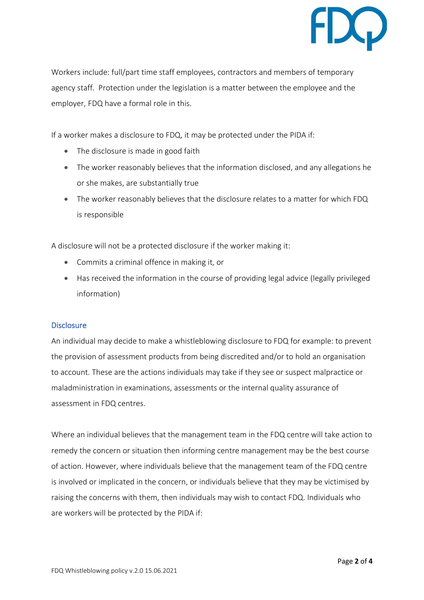

Workers include: full/part time staff employees, contractors and members of temporary agency staff. Protection under the legislation is a matter between the employee and the employer, FDQ have a formal role in this.

If a worker makes a disclosure to FDQ, it may be protected under the PIDA if:

- The disclosure is made in good faith
- The worker reasonably believes that the information disclosed, and any allegations he or she makes, are substantially true
- The worker reasonably believes that the disclosure relates to a matter for which FDQ is responsible

A disclosure will not be a protected disclosure if the worker making it:

- Commits a criminal offence in making it, or
- Has received the information in the course of providing legal advice (legally privileged information)

#### Disclosure

An individual may decide to make a whistleblowing disclosure to FDQ for example: to prevent the provision of assessment products from being discredited and/or to hold an organisation to account. These are the actions individuals may take if they see or suspect malpractice or maladministration in examinations, assessments or the internal quality assurance of assessment in FDQ centres.

Where an individual believes that the management team in the FDQ centre will take action to remedy the concern or situation then informing centre management may be the best course of action. However, where individuals believe that the management team of the FDQ centre is involved or implicated in the concern, or individuals believe that they may be victimised by raising the concerns with them, then individuals may wish to contact FDQ. Individuals who are workers will be protected by the PIDA if: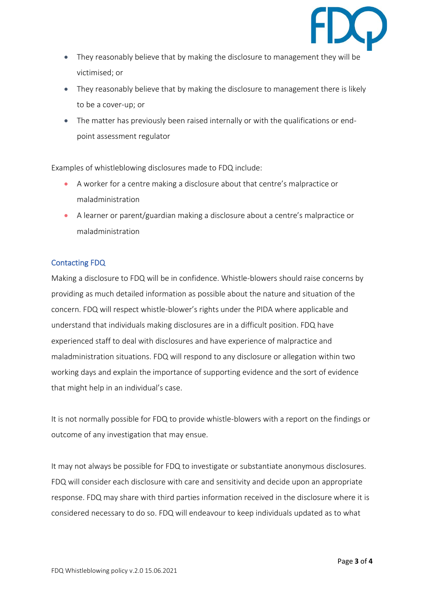

- They reasonably believe that by making the disclosure to management they will be victimised; or
- They reasonably believe that by making the disclosure to management there is likely to be a cover-up; or
- The matter has previously been raised internally or with the qualifications or endpoint assessment regulator

Examples of whistleblowing disclosures made to FDQ include:

- A worker for a centre making a disclosure about that centre's malpractice or maladministration
- A learner or parent/guardian making a disclosure about a centre's malpractice or maladministration

# Contacting FDQ

Making a disclosure to FDQ will be in confidence. Whistle-blowers should raise concerns by providing as much detailed information as possible about the nature and situation of the concern. FDQ will respect whistle-blower's rights under the PIDA where applicable and understand that individuals making disclosures are in a difficult position. FDQ have experienced staff to deal with disclosures and have experience of malpractice and maladministration situations. FDQ will respond to any disclosure or allegation within two working days and explain the importance of supporting evidence and the sort of evidence that might help in an individual's case.

It is not normally possible for FDQ to provide whistle-blowers with a report on the findings or outcome of any investigation that may ensue.

It may not always be possible for FDQ to investigate or substantiate anonymous disclosures. FDQ will consider each disclosure with care and sensitivity and decide upon an appropriate response. FDQ may share with third parties information received in the disclosure where it is considered necessary to do so. FDQ will endeavour to keep individuals updated as to what